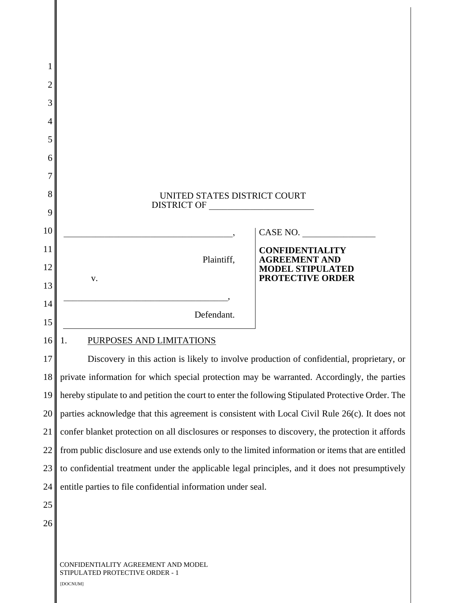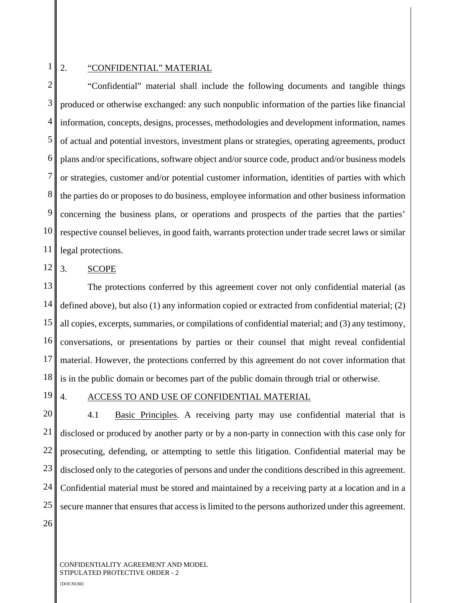# 1

#### 2. "CONFIDENTIAL" MATERIAL

2 3 4 5 6 7 8 9 10 11 "Confidential" material shall include the following documents and tangible things produced or otherwise exchanged: any such nonpublic information of the parties like financial information, concepts, designs, processes, methodologies and development information, names of actual and potential investors, investment plans or strategies, operating agreements, product plans and/or specifications, software object and/or source code, product and/or business models or strategies, customer and/or potential customer information, identities of parties with which the parties do or proposes to do business, employee information and other business information concerning the business plans, or operations and prospects of the parties that the parties' respective counsel believes, in good faith, warrants protection under trade secret laws or similar legal protections.

12 3. SCOPE

13 14 15 16 17 18 The protections conferred by this agreement cover not only confidential material (as defined above), but also (1) any information copied or extracted from confidential material; (2) all copies, excerpts, summaries, or compilations of confidential material; and (3) any testimony, conversations, or presentations by parties or their counsel that might reveal confidential material. However, the protections conferred by this agreement do not cover information that is in the public domain or becomes part of the public domain through trial or otherwise.

19

### 4. ACCESS TO AND USE OF CONFIDENTIAL MATERIAL

20 21 22 23 24 25 4.1 Basic Principles. A receiving party may use confidential material that is disclosed or produced by another party or by a non-party in connection with this case only for prosecuting, defending, or attempting to settle this litigation. Confidential material may be disclosed only to the categories of persons and under the conditions described in this agreement. Confidential material must be stored and maintained by a receiving party at a location and in a secure manner that ensures that access is limited to the persons authorized under this agreement.

26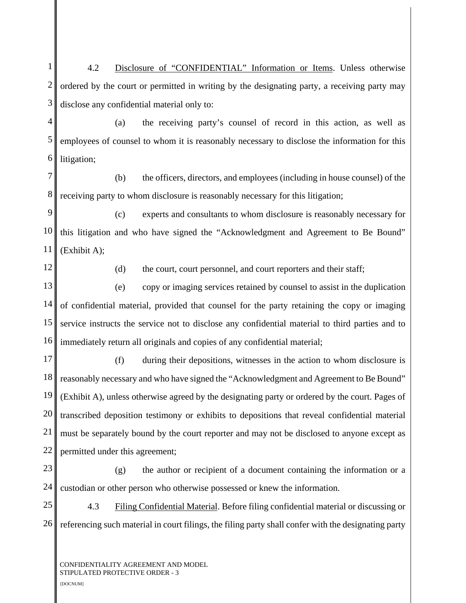1 2 3 4 5 6 7 8 9 10 11 12 13 14 15 16 17 18 19 20 21 22 23 24 25 26 CONFIDENTIALITY AGREEMENT AND MODEL STIPULATED PROTECTIVE ORDER - 3 4.2 Disclosure of "CONFIDENTIAL" Information or Items. Unless otherwise ordered by the court or permitted in writing by the designating party, a receiving party may disclose any confidential material only to: (a) the receiving party's counsel of record in this action, as well as employees of counsel to whom it is reasonably necessary to disclose the information for this litigation; (b) the officers, directors, and employees (including in house counsel) of the receiving party to whom disclosure is reasonably necessary for this litigation; (c) experts and consultants to whom disclosure is reasonably necessary for this litigation and who have signed the "Acknowledgment and Agreement to Be Bound" (Exhibit A); (d) the court, court personnel, and court reporters and their staff; (e) copy or imaging services retained by counsel to assist in the duplication of confidential material, provided that counsel for the party retaining the copy or imaging service instructs the service not to disclose any confidential material to third parties and to immediately return all originals and copies of any confidential material; (f) during their depositions, witnesses in the action to whom disclosure is reasonably necessary and who have signed the "Acknowledgment and Agreement to Be Bound" (Exhibit A), unless otherwise agreed by the designating party or ordered by the court. Pages of transcribed deposition testimony or exhibits to depositions that reveal confidential material must be separately bound by the court reporter and may not be disclosed to anyone except as permitted under this agreement; (g) the author or recipient of a document containing the information or a custodian or other person who otherwise possessed or knew the information. 4.3 Filing Confidential Material. Before filing confidential material or discussing or referencing such material in court filings, the filing party shall confer with the designating party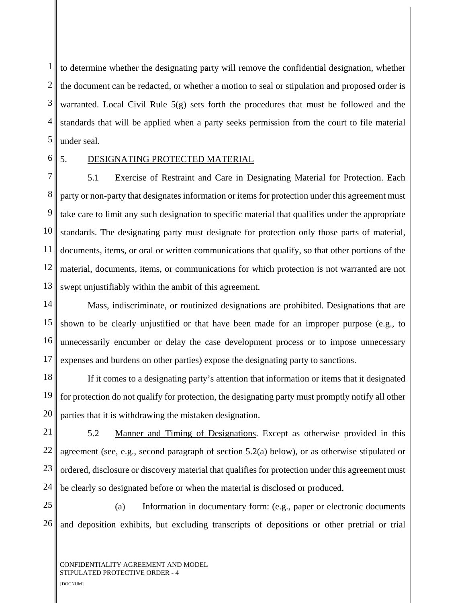1 2 3 4 5 to determine whether the designating party will remove the confidential designation, whether the document can be redacted, or whether a motion to seal or stipulation and proposed order is warranted. Local Civil Rule 5(g) sets forth the procedures that must be followed and the standards that will be applied when a party seeks permission from the court to file material under seal.

6

## 5. DESIGNATING PROTECTED MATERIAL

7 8 9 10 11 12 13 5.1 Exercise of Restraint and Care in Designating Material for Protection. Each party or non-party that designates information or items for protection under this agreement must take care to limit any such designation to specific material that qualifies under the appropriate standards. The designating party must designate for protection only those parts of material, documents, items, or oral or written communications that qualify, so that other portions of the material, documents, items, or communications for which protection is not warranted are not swept unjustifiably within the ambit of this agreement.

14 15 16 17 Mass, indiscriminate, or routinized designations are prohibited. Designations that are shown to be clearly unjustified or that have been made for an improper purpose (e.g., to unnecessarily encumber or delay the case development process or to impose unnecessary expenses and burdens on other parties) expose the designating party to sanctions.

18 19 20 If it comes to a designating party's attention that information or items that it designated for protection do not qualify for protection, the designating party must promptly notify all other parties that it is withdrawing the mistaken designation.

21 22 23 24 5.2 Manner and Timing of Designations. Except as otherwise provided in this agreement (see, e.g., second paragraph of section 5.2(a) below), or as otherwise stipulated or ordered, disclosure or discovery material that qualifies for protection under this agreement must be clearly so designated before or when the material is disclosed or produced.

25 26 (a) Information in documentary form: (e.g., paper or electronic documents and deposition exhibits, but excluding transcripts of depositions or other pretrial or trial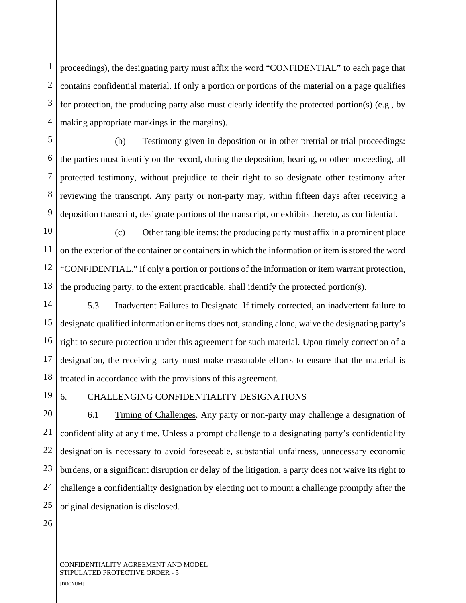1 2 3 4 proceedings), the designating party must affix the word "CONFIDENTIAL" to each page that contains confidential material. If only a portion or portions of the material on a page qualifies for protection, the producing party also must clearly identify the protected portion(s) (e.g., by making appropriate markings in the margins).

5 6 7 8 9 (b) Testimony given in deposition or in other pretrial or trial proceedings: the parties must identify on the record, during the deposition, hearing, or other proceeding, all protected testimony, without prejudice to their right to so designate other testimony after reviewing the transcript. Any party or non-party may, within fifteen days after receiving a deposition transcript, designate portions of the transcript, or exhibits thereto, as confidential.

10 11 12 13 (c) Other tangible items: the producing party must affix in a prominent place on the exterior of the container or containers in which the information or item is stored the word "CONFIDENTIAL." If only a portion or portions of the information or item warrant protection, the producing party, to the extent practicable, shall identify the protected portion(s).

14 15 16 17 18 5.3 Inadvertent Failures to Designate. If timely corrected, an inadvertent failure to designate qualified information or items does not, standing alone, waive the designating party's right to secure protection under this agreement for such material. Upon timely correction of a designation, the receiving party must make reasonable efforts to ensure that the material is treated in accordance with the provisions of this agreement.

19

## 6. CHALLENGING CONFIDENTIALITY DESIGNATIONS

20 21 22 23 24 25 6.1 Timing of Challenges. Any party or non-party may challenge a designation of confidentiality at any time. Unless a prompt challenge to a designating party's confidentiality designation is necessary to avoid foreseeable, substantial unfairness, unnecessary economic burdens, or a significant disruption or delay of the litigation, a party does not waive its right to challenge a confidentiality designation by electing not to mount a challenge promptly after the original designation is disclosed.

26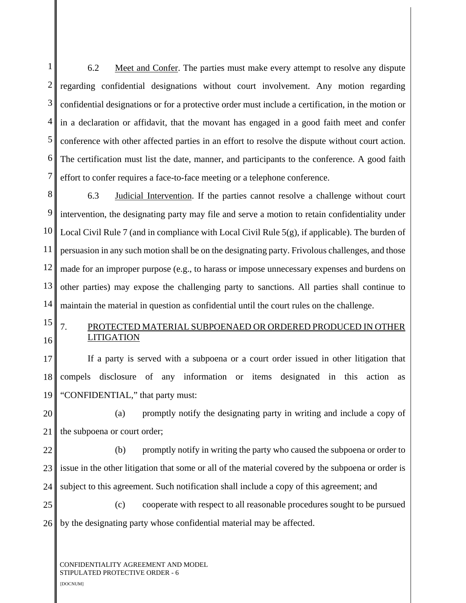1 2 3 4 5 6 7 6.2 Meet and Confer. The parties must make every attempt to resolve any dispute regarding confidential designations without court involvement. Any motion regarding confidential designations or for a protective order must include a certification, in the motion or in a declaration or affidavit, that the movant has engaged in a good faith meet and confer conference with other affected parties in an effort to resolve the dispute without court action. The certification must list the date, manner, and participants to the conference. A good faith effort to confer requires a face-to-face meeting or a telephone conference.

8 9 10 11 12 13 14 6.3 Judicial Intervention. If the parties cannot resolve a challenge without court intervention, the designating party may file and serve a motion to retain confidentiality under Local Civil Rule 7 (and in compliance with Local Civil Rule 5(g), if applicable). The burden of persuasion in any such motion shall be on the designating party. Frivolous challenges, and those made for an improper purpose (e.g., to harass or impose unnecessary expenses and burdens on other parties) may expose the challenging party to sanctions. All parties shall continue to maintain the material in question as confidential until the court rules on the challenge.

15 16 7. PROTECTED MATERIAL SUBPOENAED OR ORDERED PRODUCED IN OTHER LITIGATION

17 18 19 If a party is served with a subpoena or a court order issued in other litigation that compels disclosure of any information or items designated in this action as "CONFIDENTIAL," that party must:

20 21 (a) promptly notify the designating party in writing and include a copy of the subpoena or court order;

22 23 24 (b) promptly notify in writing the party who caused the subpoena or order to issue in the other litigation that some or all of the material covered by the subpoena or order is subject to this agreement. Such notification shall include a copy of this agreement; and

25 26 (c) cooperate with respect to all reasonable procedures sought to be pursued by the designating party whose confidential material may be affected.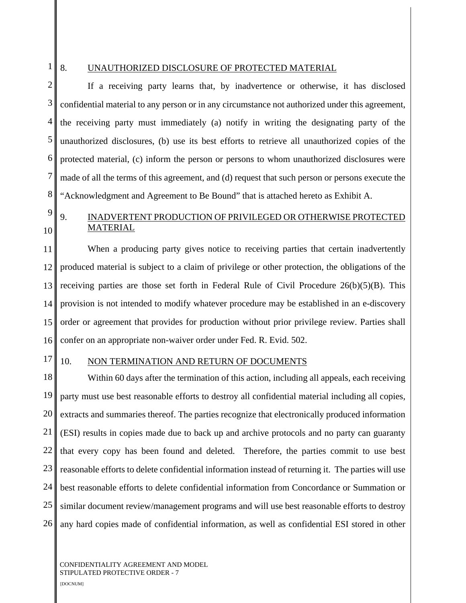## 1

### 8. UNAUTHORIZED DISCLOSURE OF PROTECTED MATERIAL

2 3 4 5 6 7 8 If a receiving party learns that, by inadvertence or otherwise, it has disclosed confidential material to any person or in any circumstance not authorized under this agreement, the receiving party must immediately (a) notify in writing the designating party of the unauthorized disclosures, (b) use its best efforts to retrieve all unauthorized copies of the protected material, (c) inform the person or persons to whom unauthorized disclosures were made of all the terms of this agreement, and (d) request that such person or persons execute the "Acknowledgment and Agreement to Be Bound" that is attached hereto as Exhibit A.

# 9 10

## 9. INADVERTENT PRODUCTION OF PRIVILEGED OR OTHERWISE PROTECTED MATERIAL

11 12 13 14 15 16 When a producing party gives notice to receiving parties that certain inadvertently produced material is subject to a claim of privilege or other protection, the obligations of the receiving parties are those set forth in Federal Rule of Civil Procedure  $26(b)(5)(B)$ . This provision is not intended to modify whatever procedure may be established in an e-discovery order or agreement that provides for production without prior privilege review. Parties shall confer on an appropriate non-waiver order under Fed. R. Evid. 502.

#### 17

#### 10. NON TERMINATION AND RETURN OF DOCUMENTS

18 19 20 21 22 23 24 25 26 Within 60 days after the termination of this action, including all appeals, each receiving party must use best reasonable efforts to destroy all confidential material including all copies, extracts and summaries thereof. The parties recognize that electronically produced information (ESI) results in copies made due to back up and archive protocols and no party can guaranty that every copy has been found and deleted. Therefore, the parties commit to use best reasonable efforts to delete confidential information instead of returning it. The parties will use best reasonable efforts to delete confidential information from Concordance or Summation or similar document review/management programs and will use best reasonable efforts to destroy any hard copies made of confidential information, as well as confidential ESI stored in other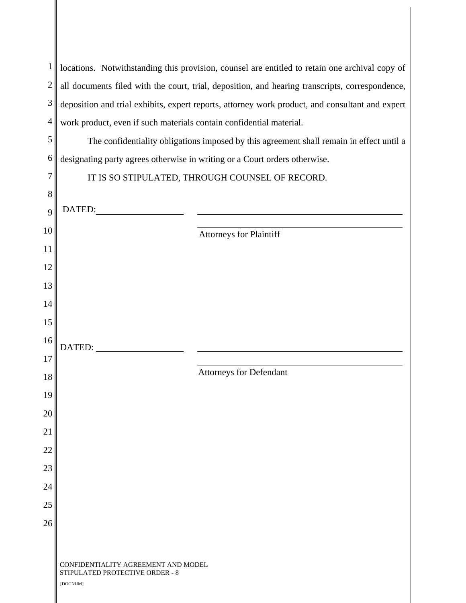| $\mathbf{1}$   | locations. Notwithstanding this provision, counsel are entitled to retain one archival copy of  |  |
|----------------|-------------------------------------------------------------------------------------------------|--|
| $\overline{c}$ | all documents filed with the court, trial, deposition, and hearing transcripts, correspondence, |  |
| 3              | deposition and trial exhibits, expert reports, attorney work product, and consultant and expert |  |
| $\overline{4}$ | work product, even if such materials contain confidential material.                             |  |
| 5              | The confidentiality obligations imposed by this agreement shall remain in effect until a        |  |
| 6              | designating party agrees otherwise in writing or a Court orders otherwise.                      |  |
| 7              | IT IS SO STIPULATED, THROUGH COUNSEL OF RECORD.                                                 |  |
| 8              |                                                                                                 |  |
| 9              | DATED:                                                                                          |  |
| 10             | <b>Attorneys for Plaintiff</b>                                                                  |  |
| 11             |                                                                                                 |  |
| 12             |                                                                                                 |  |
| 13             |                                                                                                 |  |
| 14             |                                                                                                 |  |
| 15             |                                                                                                 |  |
| 16             | DATED:                                                                                          |  |
| 17             |                                                                                                 |  |
| 18             | <b>Attorneys for Defendant</b>                                                                  |  |
| 19             |                                                                                                 |  |
| 20             |                                                                                                 |  |
| 21             |                                                                                                 |  |
| 22             |                                                                                                 |  |
| 23             |                                                                                                 |  |
| 24             |                                                                                                 |  |
| 25             |                                                                                                 |  |
| 26             |                                                                                                 |  |
|                |                                                                                                 |  |
|                | CONFIDENTIALITY AGREEMENT AND MODEL<br>STIPULATED PROTECTIVE ORDER - 8<br>[DOCNUM]              |  |

Ι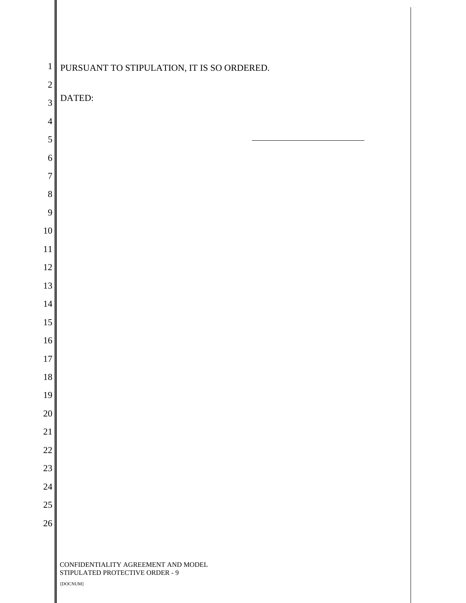| $\mathbf 1$    | PURSUANT TO STIPULATION, IT IS SO ORDERED.                                         |
|----------------|------------------------------------------------------------------------------------|
| $\overline{2}$ | DATED:                                                                             |
| $\overline{3}$ |                                                                                    |
| $\overline{4}$ |                                                                                    |
| $\mathfrak s$  |                                                                                    |
| 6              |                                                                                    |
| $\overline{7}$ |                                                                                    |
| 8<br>9         |                                                                                    |
| $10\,$         |                                                                                    |
| $11\,$         |                                                                                    |
| 12             |                                                                                    |
| 13             |                                                                                    |
| 14             |                                                                                    |
| 15             |                                                                                    |
| 16             |                                                                                    |
| $17\,$         |                                                                                    |
| $18\,$         |                                                                                    |
| 19             |                                                                                    |
| $20\,$         |                                                                                    |
| $21\,$         |                                                                                    |
| $22\,$         |                                                                                    |
| $23\,$         |                                                                                    |
| $24\,$         |                                                                                    |
| $25\,$         |                                                                                    |
| $26\,$         |                                                                                    |
|                |                                                                                    |
|                | CONFIDENTIALITY AGREEMENT AND MODEL<br>STIPULATED PROTECTIVE ORDER - 9<br>[DOCNUM] |
|                |                                                                                    |